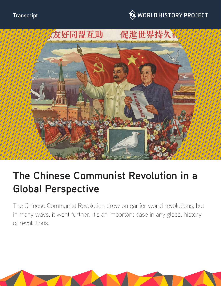





# **The Chinese Communist Revolution in a Global Perspective**

The Chinese Communist Revolution drew on earlier world revolutions, but in many ways, it went further. It's an important case in any global history of revolutions.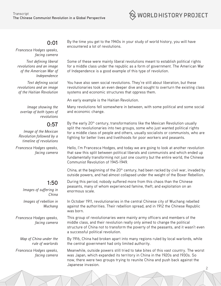

#### **0:01**

*Francesca Hodges speaks, facing camera*

*Text defining liberal revolutions and an image of the American War of Independence*

*Text defining social revolutions and an image of the Haitian Revolution*

*Image showing the overlap of both types of revolutions*

#### **0:57**

*Image of the Mexican Revolution followed by a timeline of revolutions*

*Francesca Hodges speaks, facing camera*

## **1:50**

*Images of suffering in China Images of rebellion in Wuchang*

*Francesca Hodges speaks, facing camera*

> *Map of China under the rule of warlords*

*Francesca Hodges speaks, facing camera*

By the time you get to the 1940s in your study of world history, you will have encountered a lot of revolutions.

Some of these were mainly liberal revolutions meant to establish political rights for a middle class under the republic as a form of government. The American War of Independence is a good example of this type of revolution.

You have also seen social revolutions. They're still about liberation, but these revolutionaries took an even deeper dive and sought to overturn the existing class systems and economic structures that oppress them.

An early example is the Haitian Revolution.

Many revolutions fell somewhere in between, with some political and some social and economic change.

By the early 20<sup>th</sup> century, transformations like the Mexican Revolution usually split the revolutionaries into two groups, some who just wanted political rights for a middle class of people and others, usually socialists or communists, who are fighting for better lives and livelihoods for poor workers and peasants.

Hello, I'm Francesca Hodges, and today we are going to look at another revolution that saw this split between political liberals and communists and which ended up fundamentally transforming not just one country but the entire world, the Chinese Communist Revolution of 1945-1949.

China, at the beginning of the 20<sup>th</sup> century, had been racked by civil war, invaded by outside powers, and had almost collapsed under the weight of the Boxer Rebellion.

During this period, nobody suffered more from this chaos than the Chinese peasants, many of whom experienced famine, theft, and exploitation on an enormous scale.

In October 1911, revolutionaries in the central Chinese city of Wuchang rebelled against the authorities. Their rebellion spread, and in 1912 the Chinese Republic was born.

This group of revolutionaries were mainly army officers and members of the middle class, and their revolution really only aimed to change the political structure of China not to transform the poverty of the peasants, and it wasn't even a successful political revolution.

By 1916, China had broken apart into many regions ruled by local warlords, while the central government had only limited authority.

2 Meanwhile, outside powers still tried to take bites of this vast country. The worst was Japan, which expanded its territory in China in the 1920s and 1930s. So now, there were two groups trying to reunite China and push back against the Japanese invasion.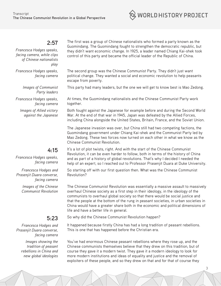## **2:57**

*Francesca Hodges speaks, facing camera, while clips of Chinese nationalists play*

*Francesca Hodges speaks, facing camera*

> *Images of Communist Party leaders*

*Francesca Hodges speaks, facing camera*

*Images of Allied victory against the Japanese*

The first was a group of Chinese nationalists who formed a party known as the Guomindang. The Guomindang fought to strengthen the democratic republic, but they didn't want economic change. In 1925, a leader named Chiang Kai-shek took control of this party and became the official leader of the Republic of China.

 $\Im$  WORLD HISTORY PROJECT

The second group was the Chinese Communist Party. They didn't just want political change. They wanted a social and economic revolution to help peasants escape from poverty.

This party had many leaders, but the one we will get to know best is Mao Zedong.

At times, the Guomindang nationalists and the Chinese Communist Party work together.

Both fought against the Japanese for example before and during the Second World War. At the end of that war in 1945, Japan was defeated by the Allied Forces, including China alongside the United States, Britain, France, and the Soviet Union.

The Japanese invasion was over, but China still had two competing factions, the Guomindang government under Chiang Kai-shek and the Communist Party led by Mao Zedong. These two forces now turned on each other in what we know as the Chinese Communist Revolution.

## **4:15**

*Francesca Hodges speaks, facing camera*

*Francesca Hodges and Prasenjit Duara converse, facing camera*

> *Images of the Chinese Communist Revolution*

#### **5:23**

*Francesca Hodges and Prasenjit Duara converse, facing camera*

> *Images showing the tradition of peasant rebellions in China and new global ideologies*

It's a lot of plot twists, right. And with the start of the Chinese Communist Revolution, it can be even harder to follow, both in terms of the history of China and as part of a history of global revolutions. That's why I decided I needed the help of an expert, so I reached out to Professor Prasenjit Duara at Duke University.

So starting off with our first question then. What was the Chinese Communist Revolution?

The Chinese Communist Revolution was essentially a massive assault to massively overhaul Chinese society as a first step in their ideology, in the ideology of the communists to overhaul global society so that there would be social justice and that the people at the bottom of the rung in peasant societies, in urban societies in China would have a greater share both in the economic and political dimensions of life and have a better life in general.

So why did the Chinese Communist Revolution happen?

It happened because firstly China has had a long tradition of peasant rebellions. This is one that has happened before the Christian era.

You've had enormous Chinese peasant rebellions where they rose up, and the Chinese communists themselves believe that they drew on this tradition, but of course they gave it a modern twist. They gave it a modern ideology to look for more modern institutions and ideas of equality and justice and the removal of exploiters of these people, and so they drew on that and for that of course they

3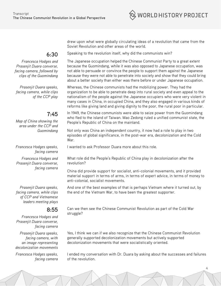

**6:30**

*Francesca Hodges and Prasenjit Duara converse, facing camera, followed by clips of the Guomindang*

*Prasenjit Duara speaks, facing camera, while clips of the CCP play*

## **7:45**

*Map of China showing the area under the CCP and Guomindang* 

*Francesca Hodges speaks, facing camera*

*Francesca Hodges and Prasenjit Duara converse, facing camera*

*Prasenjit Duara speaks, facing camera, while clips of CCP and Vietnamese leaders meeting plays* 

### **8:55**

*Francesca Hodges and Prasenjit Duara converse, facing camera*

*Prasenjit Duara speaks, facing camera, with an image representing decolonization movements*

*Francesca Hodges speaks, facing camera* Speaking to the revolution itself, why did the communists win?

Soviet Revolution and other areas of the world.

The Japanese occupation helped the Chinese Communist Party to a great extent because the Guomindang, while it was also opposed to Japanese occupation, was not able to persuade or convince the people to support them against the Japanese because they were not able to penetrate into society and show that they could bring about a better society than either was there before or under Japanese occupation.

drew upon what were globally circulating ideas of a revolution that came from the

Whereas, the Chinese communists had the mobilizing power. They had the organization to be able to penetrate deep into rural society and even appeal to the nationalism of the people against the Japanese occupiers who were very violent in many cases in China, in occupied China, and they also engaged in various kinds of reforms like giving land and giving dignity to the poor, the rural poor in particular.

In 1949, the Chinese communists were able to seize power from the Guomindang who fled to the island of Taiwan. Mao Zedong ruled a unified communist state, the People's Republic of China on the mainland.

Not only was China an independent country, it now had a role to play in two episodes of global significance, in the post-war era, decolonization and the Cold War.

I wanted to ask Professor Duara more about this role.

What role did the People's Republic of China play in decolonization after the revolution?

China did provide support for socialist, anti-colonial movements, and it provided material support in terms of arms, in terms of expert advice, in terms of money to anti-colonial, socialist movements.

And one of the best examples of that is perhaps Vietnam where it turned out, by the end of the Vietnam War, to have been the greatest supporter.

Can we then see the Chinese Communist Revolution as part of the Cold War struggle?

Yes, I think we can if we also recognize that the Chinese Communist Revolution generally supported decolonization movements but actively supported decolonization movements that were socialistically oriented.

I ended my conversation with Dr. Duara by asking about the successes and failures of the revolution.

4